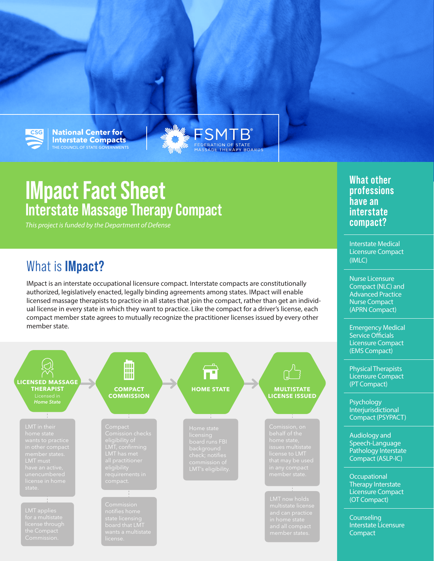

**National Center for Interstate Compacts** THE COUNCIL OF STATE GOVERNMENTS

# **IMpact Fact Sheet Interstate Massage Therapy Compact**

*This project is funded by the Department of Defense*

## What is **IMpact?**

IMpact is an interstate occupational licensure compact. Interstate compacts are constitutionally authorized, legislatively enacted, legally binding agreements among states. IMpact will enable licensed massage therapists to practice in all states that join the compact, rather than get an individual license in every state in which they want to practice. Like the compact for a driver's license, each compact member state agrees to mutually recognize the practitioner licenses issued by every other member state.

WHERE **SMTB** 



**What other professions have an interstate compact?**

Interstate Medical Licensure Compact (IMLC)

Nurse Licensure Compact (NLC) and Advanced Practice Nurse Compact (APRN Compact)

Emergency Medical Service Officials Licensure Compact (EMS Compact)

Physical Therapists Licensure Compact (PT Compact)

**Psychology Interjurisdictional** Compact (PSYPACT)

Audiology and Speech-Language Pathology Interstate Compact (ASLP-IC)

**Occupational** Therapy Interstate Licensure Compact (OT Compact)

**Counseling** Interstate Licensure **Compact**